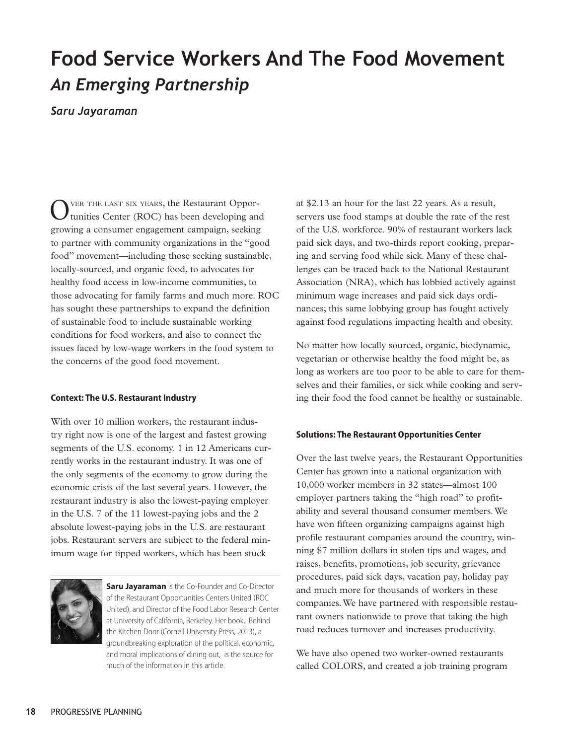## **Food Service Workers And The Food Movement** *An Emerging Partnership*

*Saru Jayaraman*

Over the last six years, the Restaurant Oppor-tunities Center (ROC) has been developing and growing a consumer engagement campaign, seeking to partner with community organizations in the "good food" movement—including those seeking sustainable, locally-sourced, and organic food, to advocates for healthy food access in low-income communities, to those advocating for family farms and much more. ROC has sought these partnerships to expand the definition of sustainable food to include sustainable working conditions for food workers, and also to connect the issues faced by low-wage workers in the food system to the concerns of the good food movement.

## **Context: The U.S. Restaurant Industry**

With over 10 million workers, the restaurant industry right now is one of the largest and fastest growing segments of the U.S. economy. 1 in 12 Americans currently works in the restaurant industry. It was one of the only segments of the economy to grow during the economic crisis of the last several years. However, the restaurant industry is also the lowest-paying employer in the U.S. 7 of the 11 lowest-paying jobs and the 2 absolute lowest-paying jobs in the U.S. are restaurant jobs. Restaurant servers are subject to the federal minimum wage for tipped workers, which has been stuck



**Saru Jayaraman** is the Co-Founder and Co-Director of the Restaurant Opportunities Centers United (ROC United), and Director of the Food Labor Research Center at University of California, Berkeley. Her book, Behind the Kitchen Door (Cornell University Press, 2013), a groundbreaking exploration of the political, economic, and moral implications of dining out, is the source for much of the information in this article.

at \$2.13 an hour for the last 22 years. As a result, servers use food stamps at double the rate of the rest of the U.S. workforce. 90% of restaurant workers lack paid sick days, and two-thirds report cooking, preparing and serving food while sick. Many of these challenges can be traced back to the National Restaurant Association (NRA), which has lobbied actively against minimum wage increases and paid sick days ordinances; this same lobbying group has fought actively against food regulations impacting health and obesity.

No matter how locally sourced, organic, biodynamic, vegetarian or otherwise healthy the food might be, as long as workers are too poor to be able to care for themselves and their families, or sick while cooking and serving their food the food cannot be healthy or sustainable.

## **Solutions: The Restaurant Opportunities Center**

Over the last twelve years, the Restaurant Opportunities Center has grown into a national organization with 10,000 worker members in 32 states—almost 100 employer partners taking the "high road" to profitability and several thousand consumer members. We have won fifteen organizing campaigns against high profile restaurant companies around the country, winning \$7 million dollars in stolen tips and wages, and raises, benefits, promotions, job security, grievance procedures, paid sick days, vacation pay, holiday pay and much more for thousands of workers in these companies. We have partnered with responsible restaurant owners nationwide to prove that taking the high road reduces turnover and increases productivity.

We have also opened two worker-owned restaurants called COLORS, and created a job training program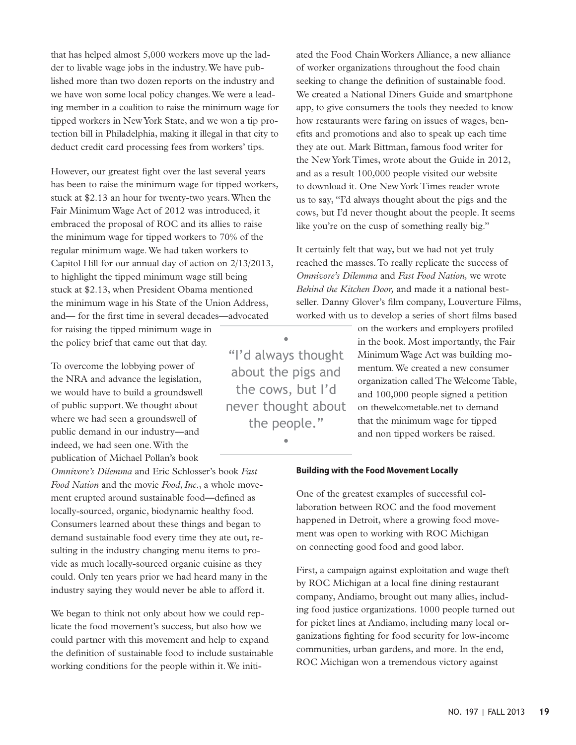that has helped almost 5,000 workers move up the ladder to livable wage jobs in the industry. We have published more than two dozen reports on the industry and we have won some local policy changes. We were a leading member in a coalition to raise the minimum wage for tipped workers in New York State, and we won a tip protection bill in Philadelphia, making it illegal in that city to deduct credit card processing fees from workers' tips.

However, our greatest fight over the last several years has been to raise the minimum wage for tipped workers, stuck at \$2.13 an hour for twenty-two years. When the Fair Minimum Wage Act of 2012 was introduced, it embraced the proposal of ROC and its allies to raise the minimum wage for tipped workers to 70% of the regular minimum wage. We had taken workers to Capitol Hill for our annual day of action on 2/13/2013, to highlight the tipped minimum wage still being stuck at \$2.13, when President Obama mentioned the minimum wage in his State of the Union Address, and— for the first time in several decades—advocated

for raising the tipped minimum wage in the policy brief that came out that day.

To overcome the lobbying power of the NRA and advance the legislation, we would have to build a groundswell of public support. We thought about where we had seen a groundswell of public demand in our industry—and indeed, we had seen one. With the publication of Michael Pollan's book

*Omnivore's Dilemma* and Eric Schlosser's book *Fast Food Nation* and the movie *Food, Inc.*, a whole movement erupted around sustainable food—defined as locally-sourced, organic, biodynamic healthy food. Consumers learned about these things and began to demand sustainable food every time they ate out, resulting in the industry changing menu items to provide as much locally-sourced organic cuisine as they could. Only ten years prior we had heard many in the industry saying they would never be able to afford it.

We began to think not only about how we could replicate the food movement's success, but also how we could partner with this movement and help to expand the definition of sustainable food to include sustainable working conditions for the people within it. We initiated the Food Chain Workers Alliance, a new alliance of worker organizations throughout the food chain seeking to change the definition of sustainable food. We created a National Diners Guide and smartphone app, to give consumers the tools they needed to know how restaurants were faring on issues of wages, benefits and promotions and also to speak up each time they ate out. Mark Bittman, famous food writer for the New York Times, wrote about the Guide in 2012, and as a result 100,000 people visited our website to download it. One New York Times reader wrote us to say, "I'd always thought about the pigs and the cows, but I'd never thought about the people. It seems like you're on the cusp of something really big."

It certainly felt that way, but we had not yet truly reached the masses. To really replicate the success of *Omnivore's Dilemma* and *Fast Food Nation,* we wrote *Behind the Kitchen Door,* and made it a national bestseller. Danny Glover's film company, Louverture Films, worked with us to develop a series of short films based

• "I'd always thought about the pigs and the cows, but I'd never thought about the people."

•

on the workers and employers profiled in the book. Most importantly, the Fair Minimum Wage Act was building momentum. We created a new consumer organization called The Welcome Table, and 100,000 people signed a petition on thewelcometable.net to demand that the minimum wage for tipped and non tipped workers be raised.

## **Building with the Food Movement Locally**

One of the greatest examples of successful collaboration between ROC and the food movement happened in Detroit, where a growing food movement was open to working with ROC Michigan on connecting good food and good labor.

First, a campaign against exploitation and wage theft by ROC Michigan at a local fine dining restaurant company, Andiamo, brought out many allies, including food justice organizations. 1000 people turned out for picket lines at Andiamo, including many local organizations fighting for food security for low-income communities, urban gardens, and more. In the end, ROC Michigan won a tremendous victory against